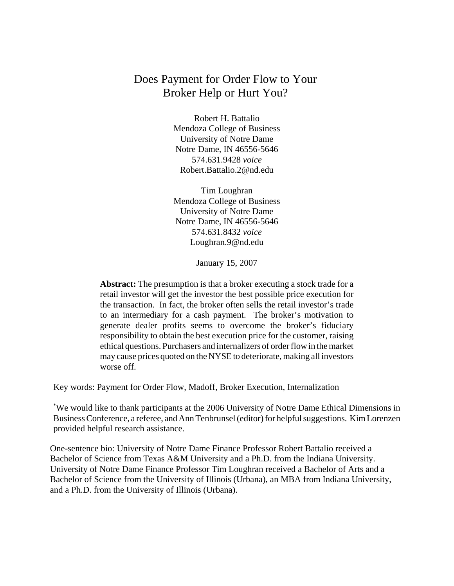# Does Payment for Order Flow to Your Broker Help or Hurt You?

Robert H. Battalio Mendoza College of Business University of Notre Dame Notre Dame, IN 46556-5646 574.631.9428 *voice* Robert.Battalio.2@nd.edu

Tim Loughran Mendoza College of Business University of Notre Dame Notre Dame, IN 46556-5646 574.631.8432 *voice* Loughran.9@nd.edu

January 15, 2007

**Abstract:** The presumption is that a broker executing a stock trade for a retail investor will get the investor the best possible price execution for the transaction. In fact, the broker often sells the retail investor's trade to an intermediary for a cash payment. The broker's motivation to generate dealer profits seems to overcome the broker's fiduciary responsibility to obtain the best execution price for the customer, raising ethical questions. Purchasers and internalizers of order flow in the market may cause prices quoted on the NYSE to deteriorate, making all investors worse off.

Key words: Payment for Order Flow, Madoff, Broker Execution, Internalization

\* We would like to thank participants at the 2006 University of Notre Dame Ethical Dimensions in Business Conference, a referee, and Ann Tenbrunsel (editor) for helpful suggestions. Kim Lorenzen provided helpful research assistance.

One-sentence bio: University of Notre Dame Finance Professor Robert Battalio received a Bachelor of Science from Texas A&M University and a Ph.D. from the Indiana University. University of Notre Dame Finance Professor Tim Loughran received a Bachelor of Arts and a Bachelor of Science from the University of Illinois (Urbana), an MBA from Indiana University, and a Ph.D. from the University of Illinois (Urbana).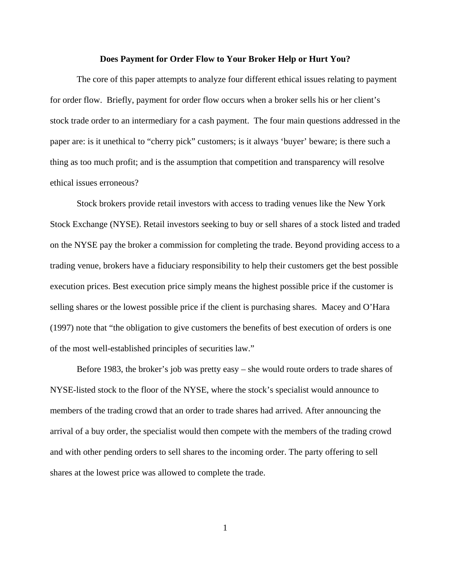#### **Does Payment for Order Flow to Your Broker Help or Hurt You?**

The core of this paper attempts to analyze four different ethical issues relating to payment for order flow. Briefly, payment for order flow occurs when a broker sells his or her client's stock trade order to an intermediary for a cash payment. The four main questions addressed in the paper are: is it unethical to "cherry pick" customers; is it always 'buyer' beware; is there such a thing as too much profit; and is the assumption that competition and transparency will resolve ethical issues erroneous?

Stock brokers provide retail investors with access to trading venues like the New York Stock Exchange (NYSE). Retail investors seeking to buy or sell shares of a stock listed and traded on the NYSE pay the broker a commission for completing the trade. Beyond providing access to a trading venue, brokers have a fiduciary responsibility to help their customers get the best possible execution prices. Best execution price simply means the highest possible price if the customer is selling shares or the lowest possible price if the client is purchasing shares. Macey and O'Hara (1997) note that "the obligation to give customers the benefits of best execution of orders is one of the most well-established principles of securities law."

Before 1983, the broker's job was pretty easy – she would route orders to trade shares of NYSE-listed stock to the floor of the NYSE, where the stock's specialist would announce to members of the trading crowd that an order to trade shares had arrived. After announcing the arrival of a buy order, the specialist would then compete with the members of the trading crowd and with other pending orders to sell shares to the incoming order. The party offering to sell shares at the lowest price was allowed to complete the trade.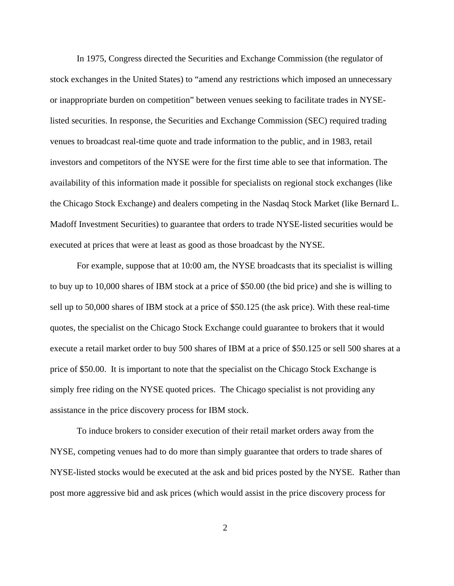In 1975, Congress directed the Securities and Exchange Commission (the regulator of stock exchanges in the United States) to "amend any restrictions which imposed an unnecessary or inappropriate burden on competition" between venues seeking to facilitate trades in NYSElisted securities. In response, the Securities and Exchange Commission (SEC) required trading venues to broadcast real-time quote and trade information to the public, and in 1983, retail investors and competitors of the NYSE were for the first time able to see that information. The availability of this information made it possible for specialists on regional stock exchanges (like the Chicago Stock Exchange) and dealers competing in the Nasdaq Stock Market (like Bernard L. Madoff Investment Securities) to guarantee that orders to trade NYSE-listed securities would be executed at prices that were at least as good as those broadcast by the NYSE.

For example, suppose that at 10:00 am, the NYSE broadcasts that its specialist is willing to buy up to 10,000 shares of IBM stock at a price of \$50.00 (the bid price) and she is willing to sell up to 50,000 shares of IBM stock at a price of \$50.125 (the ask price). With these real-time quotes, the specialist on the Chicago Stock Exchange could guarantee to brokers that it would execute a retail market order to buy 500 shares of IBM at a price of \$50.125 or sell 500 shares at a price of \$50.00. It is important to note that the specialist on the Chicago Stock Exchange is simply free riding on the NYSE quoted prices. The Chicago specialist is not providing any assistance in the price discovery process for IBM stock.

To induce brokers to consider execution of their retail market orders away from the NYSE, competing venues had to do more than simply guarantee that orders to trade shares of NYSE-listed stocks would be executed at the ask and bid prices posted by the NYSE. Rather than post more aggressive bid and ask prices (which would assist in the price discovery process for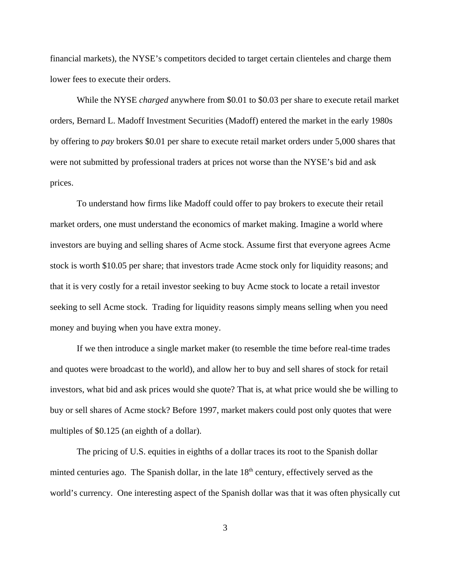financial markets), the NYSE's competitors decided to target certain clienteles and charge them lower fees to execute their orders.

While the NYSE *charged* anywhere from \$0.01 to \$0.03 per share to execute retail market orders, Bernard L. Madoff Investment Securities (Madoff) entered the market in the early 1980s by offering to *pay* brokers \$0.01 per share to execute retail market orders under 5,000 shares that were not submitted by professional traders at prices not worse than the NYSE's bid and ask prices.

To understand how firms like Madoff could offer to pay brokers to execute their retail market orders, one must understand the economics of market making. Imagine a world where investors are buying and selling shares of Acme stock. Assume first that everyone agrees Acme stock is worth \$10.05 per share; that investors trade Acme stock only for liquidity reasons; and that it is very costly for a retail investor seeking to buy Acme stock to locate a retail investor seeking to sell Acme stock. Trading for liquidity reasons simply means selling when you need money and buying when you have extra money.

If we then introduce a single market maker (to resemble the time before real-time trades and quotes were broadcast to the world), and allow her to buy and sell shares of stock for retail investors, what bid and ask prices would she quote? That is, at what price would she be willing to buy or sell shares of Acme stock? Before 1997, market makers could post only quotes that were multiples of \$0.125 (an eighth of a dollar).

The pricing of U.S. equities in eighths of a dollar traces its root to the Spanish dollar minted centuries ago. The Spanish dollar, in the late  $18<sup>th</sup>$  century, effectively served as the world's currency. One interesting aspect of the Spanish dollar was that it was often physically cut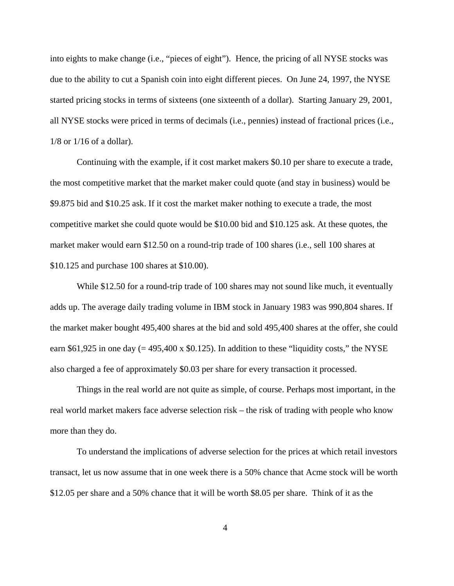into eights to make change (i.e., "pieces of eight"). Hence, the pricing of all NYSE stocks was due to the ability to cut a Spanish coin into eight different pieces. On June 24, 1997, the NYSE started pricing stocks in terms of sixteens (one sixteenth of a dollar). Starting January 29, 2001, all NYSE stocks were priced in terms of decimals (i.e., pennies) instead of fractional prices (i.e., 1/8 or 1/16 of a dollar).

Continuing with the example, if it cost market makers \$0.10 per share to execute a trade, the most competitive market that the market maker could quote (and stay in business) would be \$9.875 bid and \$10.25 ask. If it cost the market maker nothing to execute a trade, the most competitive market she could quote would be \$10.00 bid and \$10.125 ask. At these quotes, the market maker would earn \$12.50 on a round-trip trade of 100 shares (i.e., sell 100 shares at \$10.125 and purchase 100 shares at \$10.00).

While \$12.50 for a round-trip trade of 100 shares may not sound like much, it eventually adds up. The average daily trading volume in IBM stock in January 1983 was 990,804 shares. If the market maker bought 495,400 shares at the bid and sold 495,400 shares at the offer, she could earn \$61,925 in one day  $(= 495,400 \times 0.125)$ . In addition to these "liquidity costs," the NYSE also charged a fee of approximately \$0.03 per share for every transaction it processed.

Things in the real world are not quite as simple, of course. Perhaps most important, in the real world market makers face adverse selection risk – the risk of trading with people who know more than they do.

To understand the implications of adverse selection for the prices at which retail investors transact, let us now assume that in one week there is a 50% chance that Acme stock will be worth \$12.05 per share and a 50% chance that it will be worth \$8.05 per share. Think of it as the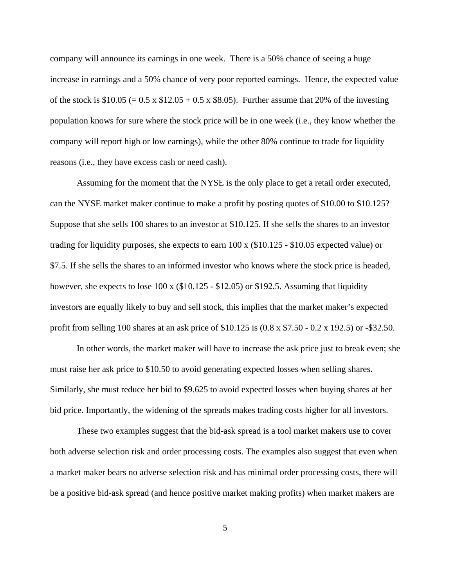company will announce its earnings in one week. There is a 50% chance of seeing a huge increase in earnings and a 50% chance of very poor reported earnings. Hence, the expected value of the stock is  $$10.05 (= 0.5 \times $12.05 + 0.5 \times $8.05)$ . Further assume that 20% of the investing population knows for sure where the stock price will be in one week (i.e., they know whether the company will report high or low earnings), while the other 80% continue to trade for liquidity reasons (i.e., they have excess cash or need cash).

Assuming for the moment that the NYSE is the only place to get a retail order executed, can the NYSE market maker continue to make a profit by posting quotes of \$10.00 to \$10.125? Suppose that she sells 100 shares to an investor at \$10.125. If she sells the shares to an investor trading for liquidity purposes, she expects to earn 100 x (\$10.125 - \$10.05 expected value) or \$7.5. If she sells the shares to an informed investor who knows where the stock price is headed, however, she expects to lose 100 x (\$10.125 - \$12.05) or \$192.5. Assuming that liquidity investors are equally likely to buy and sell stock, this implies that the market maker's expected profit from selling 100 shares at an ask price of \$10.125 is (0.8 x \$7.50 - 0.2 x 192.5) or -\$32.50.

In other words, the market maker will have to increase the ask price just to break even; she must raise her ask price to \$10.50 to avoid generating expected losses when selling shares. Similarly, she must reduce her bid to \$9.625 to avoid expected losses when buying shares at her bid price. Importantly, the widening of the spreads makes trading costs higher for all investors.

These two examples suggest that the bid-ask spread is a tool market makers use to cover both adverse selection risk and order processing costs. The examples also suggest that even when a market maker bears no adverse selection risk and has minimal order processing costs, there will be a positive bid-ask spread (and hence positive market making profits) when market makers are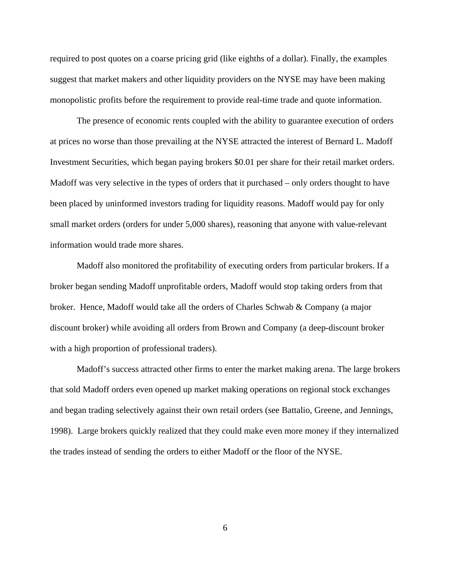required to post quotes on a coarse pricing grid (like eighths of a dollar). Finally, the examples suggest that market makers and other liquidity providers on the NYSE may have been making monopolistic profits before the requirement to provide real-time trade and quote information.

The presence of economic rents coupled with the ability to guarantee execution of orders at prices no worse than those prevailing at the NYSE attracted the interest of Bernard L. Madoff Investment Securities, which began paying brokers \$0.01 per share for their retail market orders. Madoff was very selective in the types of orders that it purchased – only orders thought to have been placed by uninformed investors trading for liquidity reasons. Madoff would pay for only small market orders (orders for under 5,000 shares), reasoning that anyone with value-relevant information would trade more shares.

Madoff also monitored the profitability of executing orders from particular brokers. If a broker began sending Madoff unprofitable orders, Madoff would stop taking orders from that broker. Hence, Madoff would take all the orders of Charles Schwab & Company (a major discount broker) while avoiding all orders from Brown and Company (a deep-discount broker with a high proportion of professional traders).

Madoff's success attracted other firms to enter the market making arena. The large brokers that sold Madoff orders even opened up market making operations on regional stock exchanges and began trading selectively against their own retail orders (see Battalio, Greene, and Jennings, 1998). Large brokers quickly realized that they could make even more money if they internalized the trades instead of sending the orders to either Madoff or the floor of the NYSE.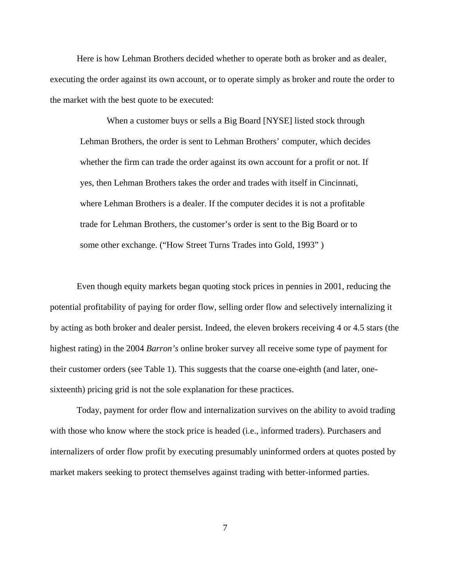Here is how Lehman Brothers decided whether to operate both as broker and as dealer, executing the order against its own account, or to operate simply as broker and route the order to the market with the best quote to be executed:

When a customer buys or sells a Big Board [NYSE] listed stock through Lehman Brothers, the order is sent to Lehman Brothers' computer, which decides whether the firm can trade the order against its own account for a profit or not. If yes, then Lehman Brothers takes the order and trades with itself in Cincinnati, where Lehman Brothers is a dealer. If the computer decides it is not a profitable trade for Lehman Brothers, the customer's order is sent to the Big Board or to some other exchange. ("How Street Turns Trades into Gold, 1993" )

Even though equity markets began quoting stock prices in pennies in 2001, reducing the potential profitability of paying for order flow, selling order flow and selectively internalizing it by acting as both broker and dealer persist. Indeed, the eleven brokers receiving 4 or 4.5 stars (the highest rating) in the 2004 *Barron's* online broker survey all receive some type of payment for their customer orders (see Table 1). This suggests that the coarse one-eighth (and later, onesixteenth) pricing grid is not the sole explanation for these practices.

Today, payment for order flow and internalization survives on the ability to avoid trading with those who know where the stock price is headed (i.e., informed traders). Purchasers and internalizers of order flow profit by executing presumably uninformed orders at quotes posted by market makers seeking to protect themselves against trading with better-informed parties.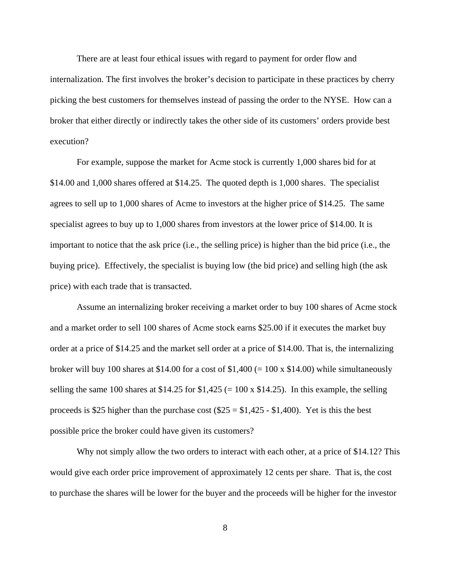There are at least four ethical issues with regard to payment for order flow and internalization. The first involves the broker's decision to participate in these practices by cherry picking the best customers for themselves instead of passing the order to the NYSE. How can a broker that either directly or indirectly takes the other side of its customers' orders provide best execution?

For example, suppose the market for Acme stock is currently 1,000 shares bid for at \$14.00 and 1,000 shares offered at \$14.25. The quoted depth is 1,000 shares. The specialist agrees to sell up to 1,000 shares of Acme to investors at the higher price of \$14.25. The same specialist agrees to buy up to 1,000 shares from investors at the lower price of \$14.00. It is important to notice that the ask price (i.e., the selling price) is higher than the bid price (i.e., the buying price). Effectively, the specialist is buying low (the bid price) and selling high (the ask price) with each trade that is transacted.

Assume an internalizing broker receiving a market order to buy 100 shares of Acme stock and a market order to sell 100 shares of Acme stock earns \$25.00 if it executes the market buy order at a price of \$14.25 and the market sell order at a price of \$14.00. That is, the internalizing broker will buy 100 shares at \$14.00 for a cost of  $$1,400 (= 100 \times $14.00)$  while simultaneously selling the same 100 shares at \$14.25 for  $$1,425 (= 100 \times $14.25)$ . In this example, the selling proceeds is \$25 higher than the purchase cost  $(\$25 = \$1,425 - \$1,400)$ . Yet is this the best possible price the broker could have given its customers?

Why not simply allow the two orders to interact with each other, at a price of \$14.12? This would give each order price improvement of approximately 12 cents per share. That is, the cost to purchase the shares will be lower for the buyer and the proceeds will be higher for the investor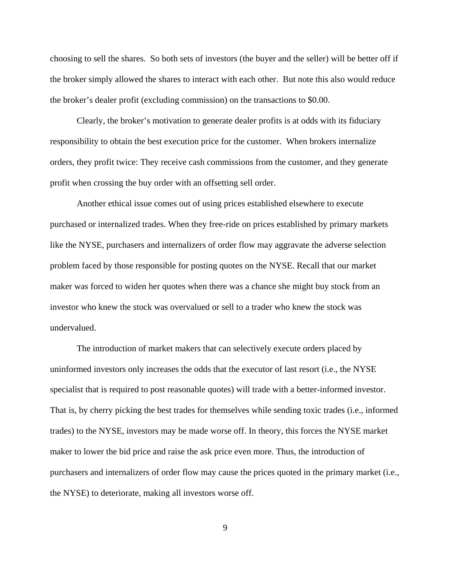choosing to sell the shares. So both sets of investors (the buyer and the seller) will be better off if the broker simply allowed the shares to interact with each other. But note this also would reduce the broker's dealer profit (excluding commission) on the transactions to \$0.00.

Clearly, the broker's motivation to generate dealer profits is at odds with its fiduciary responsibility to obtain the best execution price for the customer. When brokers internalize orders, they profit twice: They receive cash commissions from the customer, and they generate profit when crossing the buy order with an offsetting sell order.

Another ethical issue comes out of using prices established elsewhere to execute purchased or internalized trades. When they free-ride on prices established by primary markets like the NYSE, purchasers and internalizers of order flow may aggravate the adverse selection problem faced by those responsible for posting quotes on the NYSE. Recall that our market maker was forced to widen her quotes when there was a chance she might buy stock from an investor who knew the stock was overvalued or sell to a trader who knew the stock was undervalued.

The introduction of market makers that can selectively execute orders placed by uninformed investors only increases the odds that the executor of last resort (i.e., the NYSE specialist that is required to post reasonable quotes) will trade with a better-informed investor. That is, by cherry picking the best trades for themselves while sending toxic trades (i.e., informed trades) to the NYSE, investors may be made worse off. In theory, this forces the NYSE market maker to lower the bid price and raise the ask price even more. Thus, the introduction of purchasers and internalizers of order flow may cause the prices quoted in the primary market (i.e., the NYSE) to deteriorate, making all investors worse off.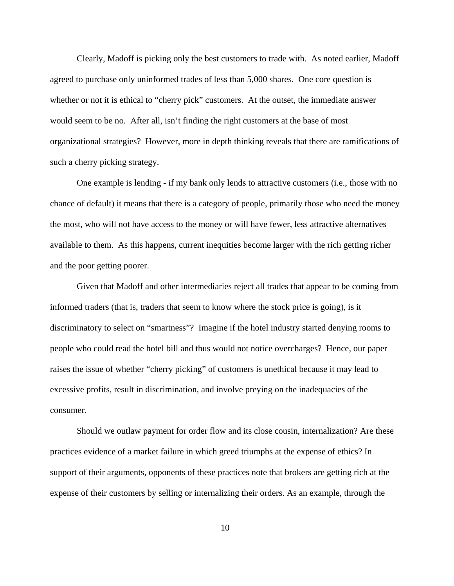Clearly, Madoff is picking only the best customers to trade with. As noted earlier, Madoff agreed to purchase only uninformed trades of less than 5,000 shares. One core question is whether or not it is ethical to "cherry pick" customers. At the outset, the immediate answer would seem to be no. After all, isn't finding the right customers at the base of most organizational strategies? However, more in depth thinking reveals that there are ramifications of such a cherry picking strategy.

One example is lending - if my bank only lends to attractive customers (i.e., those with no chance of default) it means that there is a category of people, primarily those who need the money the most, who will not have access to the money or will have fewer, less attractive alternatives available to them. As this happens, current inequities become larger with the rich getting richer and the poor getting poorer.

Given that Madoff and other intermediaries reject all trades that appear to be coming from informed traders (that is, traders that seem to know where the stock price is going), is it discriminatory to select on "smartness"? Imagine if the hotel industry started denying rooms to people who could read the hotel bill and thus would not notice overcharges? Hence, our paper raises the issue of whether "cherry picking" of customers is unethical because it may lead to excessive profits, result in discrimination, and involve preying on the inadequacies of the consumer.

Should we outlaw payment for order flow and its close cousin, internalization? Are these practices evidence of a market failure in which greed triumphs at the expense of ethics? In support of their arguments, opponents of these practices note that brokers are getting rich at the expense of their customers by selling or internalizing their orders. As an example, through the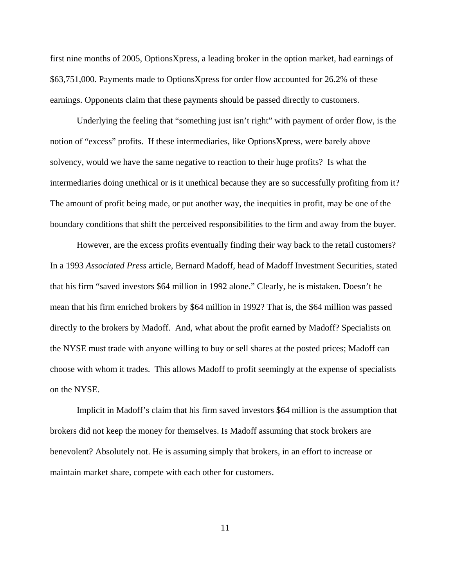first nine months of 2005, OptionsXpress, a leading broker in the option market, had earnings of \$63,751,000. Payments made to OptionsXpress for order flow accounted for 26.2% of these earnings. Opponents claim that these payments should be passed directly to customers.

Underlying the feeling that "something just isn't right" with payment of order flow, is the notion of "excess" profits. If these intermediaries, like OptionsXpress, were barely above solvency, would we have the same negative to reaction to their huge profits? Is what the intermediaries doing unethical or is it unethical because they are so successfully profiting from it? The amount of profit being made, or put another way, the inequities in profit, may be one of the boundary conditions that shift the perceived responsibilities to the firm and away from the buyer.

However, are the excess profits eventually finding their way back to the retail customers? In a 1993 *Associated Press* article, Bernard Madoff, head of Madoff Investment Securities, stated that his firm "saved investors \$64 million in 1992 alone." Clearly, he is mistaken. Doesn't he mean that his firm enriched brokers by \$64 million in 1992? That is, the \$64 million was passed directly to the brokers by Madoff. And, what about the profit earned by Madoff? Specialists on the NYSE must trade with anyone willing to buy or sell shares at the posted prices; Madoff can choose with whom it trades. This allows Madoff to profit seemingly at the expense of specialists on the NYSE.

Implicit in Madoff's claim that his firm saved investors \$64 million is the assumption that brokers did not keep the money for themselves. Is Madoff assuming that stock brokers are benevolent? Absolutely not. He is assuming simply that brokers, in an effort to increase or maintain market share, compete with each other for customers.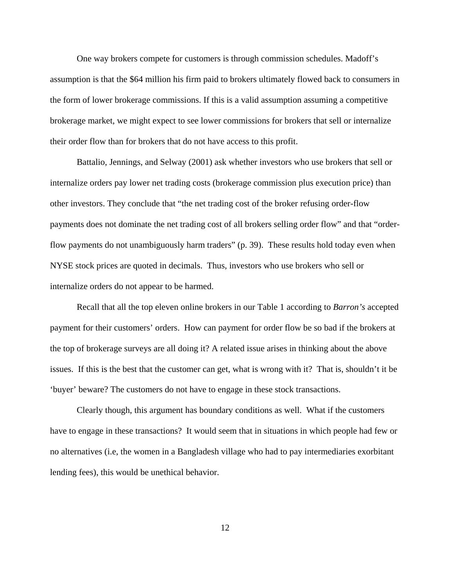One way brokers compete for customers is through commission schedules. Madoff's assumption is that the \$64 million his firm paid to brokers ultimately flowed back to consumers in the form of lower brokerage commissions. If this is a valid assumption assuming a competitive brokerage market, we might expect to see lower commissions for brokers that sell or internalize their order flow than for brokers that do not have access to this profit.

Battalio, Jennings, and Selway (2001) ask whether investors who use brokers that sell or internalize orders pay lower net trading costs (brokerage commission plus execution price) than other investors. They conclude that "the net trading cost of the broker refusing order-flow payments does not dominate the net trading cost of all brokers selling order flow" and that "orderflow payments do not unambiguously harm traders" (p. 39). These results hold today even when NYSE stock prices are quoted in decimals. Thus, investors who use brokers who sell or internalize orders do not appear to be harmed.

Recall that all the top eleven online brokers in our Table 1 according to *Barron's* accepted payment for their customers' orders. How can payment for order flow be so bad if the brokers at the top of brokerage surveys are all doing it? A related issue arises in thinking about the above issues. If this is the best that the customer can get, what is wrong with it? That is, shouldn't it be 'buyer' beware? The customers do not have to engage in these stock transactions.

Clearly though, this argument has boundary conditions as well. What if the customers have to engage in these transactions? It would seem that in situations in which people had few or no alternatives (i.e, the women in a Bangladesh village who had to pay intermediaries exorbitant lending fees), this would be unethical behavior.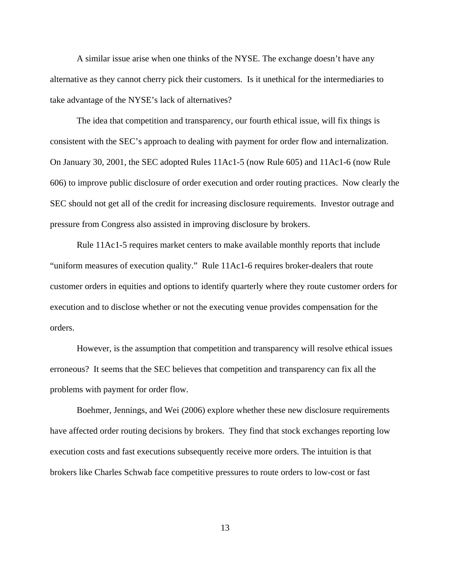A similar issue arise when one thinks of the NYSE. The exchange doesn't have any alternative as they cannot cherry pick their customers. Is it unethical for the intermediaries to take advantage of the NYSE's lack of alternatives?

The idea that competition and transparency, our fourth ethical issue, will fix things is consistent with the SEC's approach to dealing with payment for order flow and internalization. On January 30, 2001, the SEC adopted Rules 11Ac1-5 (now Rule 605) and 11Ac1-6 (now Rule 606) to improve public disclosure of order execution and order routing practices. Now clearly the SEC should not get all of the credit for increasing disclosure requirements. Investor outrage and pressure from Congress also assisted in improving disclosure by brokers.

Rule 11Ac1-5 requires market centers to make available monthly reports that include "uniform measures of execution quality." Rule 11Ac1-6 requires broker-dealers that route customer orders in equities and options to identify quarterly where they route customer orders for execution and to disclose whether or not the executing venue provides compensation for the orders.

However, is the assumption that competition and transparency will resolve ethical issues erroneous? It seems that the SEC believes that competition and transparency can fix all the problems with payment for order flow.

Boehmer, Jennings, and Wei (2006) explore whether these new disclosure requirements have affected order routing decisions by brokers. They find that stock exchanges reporting low execution costs and fast executions subsequently receive more orders. The intuition is that brokers like Charles Schwab face competitive pressures to route orders to low-cost or fast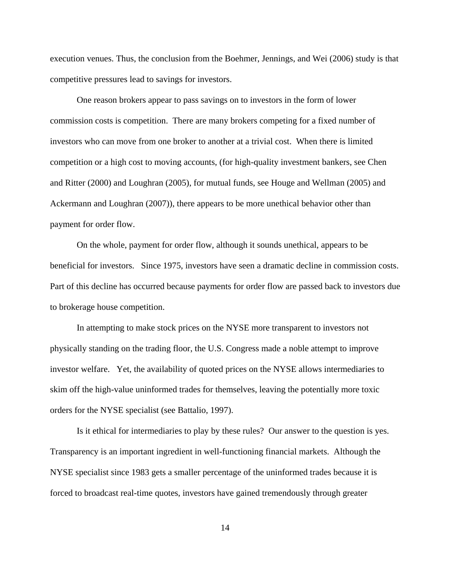execution venues. Thus, the conclusion from the Boehmer, Jennings, and Wei (2006) study is that competitive pressures lead to savings for investors.

One reason brokers appear to pass savings on to investors in the form of lower commission costs is competition. There are many brokers competing for a fixed number of investors who can move from one broker to another at a trivial cost. When there is limited competition or a high cost to moving accounts, (for high-quality investment bankers, see Chen and Ritter (2000) and Loughran (2005), for mutual funds, see Houge and Wellman (2005) and Ackermann and Loughran (2007)), there appears to be more unethical behavior other than payment for order flow.

On the whole, payment for order flow, although it sounds unethical, appears to be beneficial for investors. Since 1975, investors have seen a dramatic decline in commission costs. Part of this decline has occurred because payments for order flow are passed back to investors due to brokerage house competition.

In attempting to make stock prices on the NYSE more transparent to investors not physically standing on the trading floor, the U.S. Congress made a noble attempt to improve investor welfare. Yet, the availability of quoted prices on the NYSE allows intermediaries to skim off the high-value uninformed trades for themselves, leaving the potentially more toxic orders for the NYSE specialist (see Battalio, 1997).

Is it ethical for intermediaries to play by these rules? Our answer to the question is yes. Transparency is an important ingredient in well-functioning financial markets. Although the NYSE specialist since 1983 gets a smaller percentage of the uninformed trades because it is forced to broadcast real-time quotes, investors have gained tremendously through greater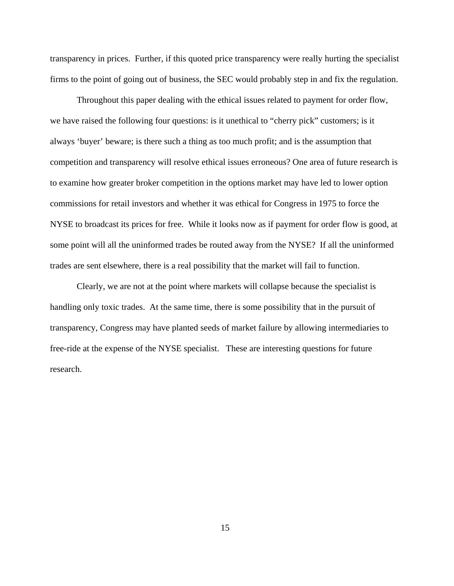transparency in prices. Further, if this quoted price transparency were really hurting the specialist firms to the point of going out of business, the SEC would probably step in and fix the regulation.

Throughout this paper dealing with the ethical issues related to payment for order flow, we have raised the following four questions: is it unethical to "cherry pick" customers; is it always 'buyer' beware; is there such a thing as too much profit; and is the assumption that competition and transparency will resolve ethical issues erroneous? One area of future research is to examine how greater broker competition in the options market may have led to lower option commissions for retail investors and whether it was ethical for Congress in 1975 to force the NYSE to broadcast its prices for free. While it looks now as if payment for order flow is good, at some point will all the uninformed trades be routed away from the NYSE? If all the uninformed trades are sent elsewhere, there is a real possibility that the market will fail to function.

Clearly, we are not at the point where markets will collapse because the specialist is handling only toxic trades. At the same time, there is some possibility that in the pursuit of transparency, Congress may have planted seeds of market failure by allowing intermediaries to free-ride at the expense of the NYSE specialist. These are interesting questions for future research.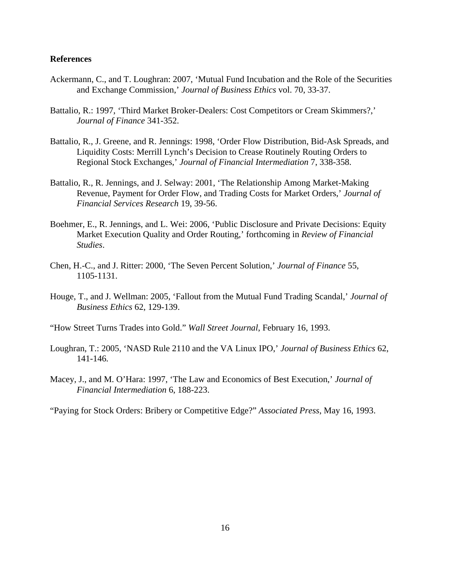### **References**

- Ackermann, C., and T. Loughran: 2007, 'Mutual Fund Incubation and the Role of the Securities and Exchange Commission,' *Journal of Business Ethics* vol. 70, 33-37.
- Battalio, R.: 1997, 'Third Market Broker-Dealers: Cost Competitors or Cream Skimmers?,' *Journal of Finance* 341-352.
- Battalio, R., J. Greene, and R. Jennings: 1998, 'Order Flow Distribution, Bid-Ask Spreads, and Liquidity Costs: Merrill Lynch's Decision to Crease Routinely Routing Orders to Regional Stock Exchanges,' *Journal of Financial Intermediation* 7, 338-358.
- Battalio, R., R. Jennings, and J. Selway: 2001, 'The Relationship Among Market-Making Revenue, Payment for Order Flow, and Trading Costs for Market Orders,' *Journal of Financial Services Research* 19, 39-56.
- Boehmer, E., R. Jennings, and L. Wei: 2006, 'Public Disclosure and Private Decisions: Equity Market Execution Quality and Order Routing,' forthcoming in *Review of Financial Studies*.
- Chen, H.-C., and J. Ritter: 2000, 'The Seven Percent Solution,' *Journal of Finance* 55, 1105-1131.
- Houge, T., and J. Wellman: 2005, 'Fallout from the Mutual Fund Trading Scandal,' *Journal of Business Ethics* 62, 129-139.
- "How Street Turns Trades into Gold." *Wall Street Journal*, February 16, 1993.
- Loughran, T.: 2005, 'NASD Rule 2110 and the VA Linux IPO,' *Journal of Business Ethics* 62, 141-146*.*
- Macey, J., and M. O'Hara: 1997, 'The Law and Economics of Best Execution,' *Journal of Financial Intermediation* 6, 188-223.

"Paying for Stock Orders: Bribery or Competitive Edge?" *Associated Press*, May 16, 1993.